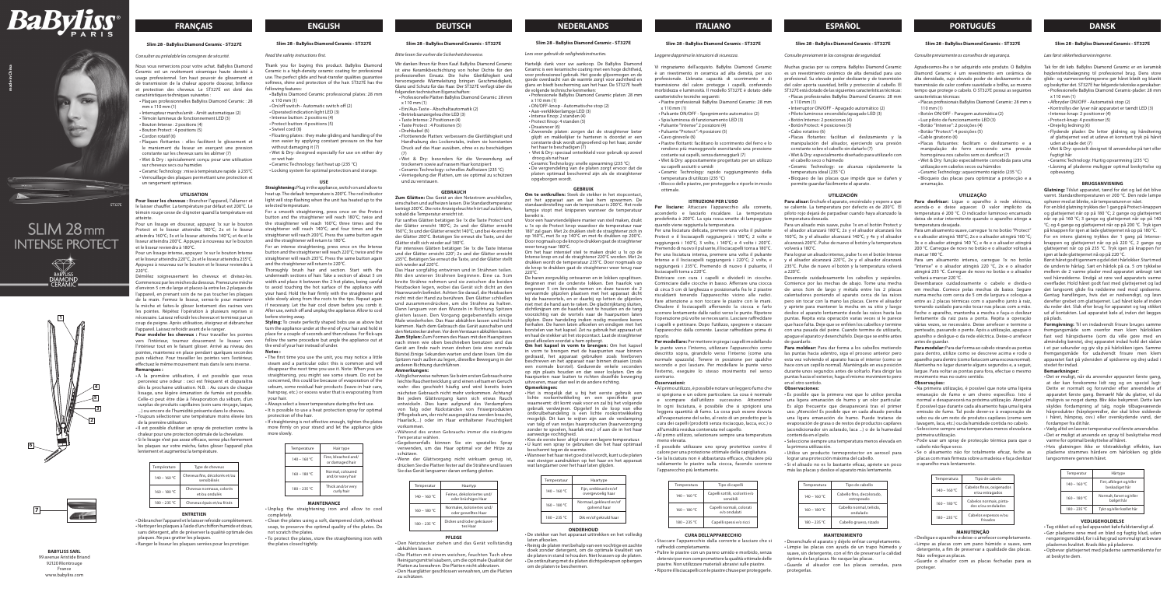## **DEUTSCH NEDERLANDS ITALIANO ESPAÑOL PORTUGUÊS DANSK**

#### **Slim 28 - BaByliss Diamond Ceramic - ST327E**

### *Consulter au préalable les consignes de sécurité.*

Nous vous remercions pour votre achat. BaByliss Diamond Ceramic est un revêtement céramique haute densité à usage professionnel. Son haut pouvoir de glissement et de transmission de la chaleur apporte douceur, brillance et protection des cheveux. Le ST327E est doté des caractéristiques techniques suivantes :

- Plaques professionnelles BaByliss Diamond Ceramic : 28 mm x 110 mm (1)
- Interrupteur marche/arrêt Arrêt automatique (2) • Témoin lumineux de fonctionnement LED (3)
- Bouton Intense : 2 positions (4)
- Bouton Protect : 4 positions (5)
- Cordon rotatif (6)
- Plaques flottantes : elles facilitent le glissement et le maniement du lisseur en exerçant une pression constante sur les cheveux sans les abîmer (7)
- Wet & Dry : spécialement conçu pour une utilisation sur cheveux secs ou humides
- Ceramic Technology : mise à température rapide à 235°C • Verrouillage des plaques permettant une protection et un rangement optimaux.

#### **UTILISATION**

**Pour lisser les cheveux :** Brancher l'appareil, l'allumer et le laisser chauffer. La température par défaut est 200°C. Le témoin rouge cesse de clignoter quand la température est atteinte.

Pour modeler les cheveux : Pour travailler les pointes vers l'intérieur, tournez doucement le lisseur vers l'intérieur tout en le faisant glisser. Arrivé au niveau des pointes, maintenez en place pendant quelques secondes puis relâchez. Pour travailler les pointes vers l'extérieur, effectuez le même mouvement mais dans le sens inverse. **Remarques :**

Pour un lissage en douceur, appuyez 1x sur le bouton Protect et le lisseur atteindra 180°C; 2x et le lisseur atteindra 160°C; 3x et le lisseur atteindra 140°C; et 4x et le lisseur atteindra 200°C. Appuyez à nouveau sur le bouton et le lisseur reviendra à 180°C.

Pour un lissage intense, appuyez 1x sur le bouton Intense et le lisseur atteindra 220°C, 2x et le lisseur atteindra 235°C. Appuyez à nouveau sur le bouton et le lisseur reviendra à 220°C.

Démêlez soigneusement les cheveux et divisez-les. Commencez par les mèches du dessous. Prenez une mèche d'environ 5 cm de large et placez-la entre les 2 plaques de l'appareil, en prenant soin de ne pas toucher les plaques de la main. Fermez le lisseur, serrez-le pour maintenir la mèche et faites-le glisser lentement des racines vers les pointes. Répétez l'opération à plusieurs reprises si nécessaire. Laissez refroidir les cheveux et terminez par un coup de peigne. Après utilisation, éteignez et débranchez l'appareil. Laissez refroidir avant de le ranger.

For an intense straightening, press once on the Intense button and the straightener will reach 220°C; twice and the straightener will reach 235°C. Press the same button again and the straightener will return to 220°C.

• A la première utilisation, il est possible que vous perceviez une odeur : ceci est fréquent et disparaîtra dès la prochaine utilisation. N.B. : Au cours de chaque lissage, une légère émanation de fumée est possible. Celle-ci peut être dûe à l'évaporation du sébum, d'un surplus de produits capillaires (soin sans rinçage, laque, ...) ou encore de l'humidité présente dans le cheveu. • Toujours sélectionner une température moins élevée lors

horoughly brush hair and section. Start with the underneath sections of hair. Take a section of about 5 cm width and place it between the 2 hot plates, being careful to avoid touching the hot surface of the appliance with your hand. Hold the hair firmly with the straightener and slide slowly along from the roots to the tips. Repeat again if necessary. Let the hair cool down before you comb it. After use, switch off and unplug the appliance. Allow to cool before storing away.

de la première utilisation. • Il est possible d'utiliser un spray de protection contre la

chaleur pour une protection optimale de la chevelure. • Si le lissage n'est pas assez efficace, serrez plus fermement

les plaques sur votre mèche, faites glisser l'appareil plus lentement et augmentez la température.

| Température    | Type de cheveux                               |
|----------------|-----------------------------------------------|
| $140 - 160 °C$ | Cheveux fins, décolorés et/ou<br>sensibilisés |
| $160 - 180 °C$ | Cheveux normaux, colorés<br>et/ou ondulés     |
| $180 - 235 °C$ | Cheveux épais et/ou frisés                    |

#### **ENTRETIEN**

• Débrancher l'appareil et le laisser refroidir complètement. • Nettoyer les plaques à l'aide d'un chiffon humide et doux, sans détergent, afin de préserver la qualité optimale des plaques. Ne pas gratter les plaques.

• Ranger le lisseur les plagues serrées pour les protéger

## **FRANÇAIS ENGLISH**

**BABYLISS SARL** 99 avenue Aristide Briand 92120 Montrouge France www.babyliss.com



## **Slim 28 - BaByliss Diamond Ceramic - ST327E**

#### *Read the safety instructions first.*

Thank you for buying this product. BaByliss Diamond Ceramic is a high-density ceramic coating for professional use. The perfect glide and heat-transfer qualities guarantee softness, shine and protection of the hair. ST327E has the following features: • BaByliss Diamond Ceramic professional plates: 28 mm

- x 110 mm (1)
- On/off switch Automatic switch off (2)
- Operated indication light LED (3)
- Intense button: 2 positions (4)
- Protect button: 4 positions (5)
- Swivel cord (6)
- Floating plates : they make gliding and handling of the iron easier by applying constant pressure on the hair without damaging it (7)
- Wet & Dry: designed especially for use on either dry or wet hair
- Ceramic Technology: fast heat up (235 °C)
- Locking system for optimal protection and storage.

#### **USE**

**Straightening:** Plug in the appliance, switch on and allow to heat up. The default temperature is 200°C. The red indicator light will stop flashing when the unit has heated up to the selected temperature.

For a smooth straightening, press once on the Protect button and the straightener will reach 180°C; twice and the straightener will reach 160°C; three times and the straightener will reach 140°C; and four times and the straightener will reach 200°C. Press the same button again and the straightener will return to 180°C.

**Styling:** To create perfectly shaped bobs use as above but turn the appliance under at the end of your hair and hold in place for a couple of seconds and then release. For flick-ups follow the same procedure but angle the appliance out at the end of your hair instead of under.

#### **Notes :**

• The first time you use the unit, you may notice a little steam and a particular odor: this is common and will disappear the next time you use it. Note: When you are straightening, you might see some steam. Do not be concerned, this could be because of evaporation of the sebum, some residual hair products (leave-in hair care, hairspray, etc.) or excess water that is evaporating from your hair.

• Always select a lower temperature during the first use. • It is possible to use a heat protection spray for optimal

protection of the hair. • If straightening is not effective enough, tighten the plates

more firmly on your strand and let the appliance glide more slowly.

| Temperature    | Hair type                              |
|----------------|----------------------------------------|
| $140 - 160 °C$ | Fine, bleached and/<br>or damaged hair |
| $160 - 180 °C$ | Normal, coloured<br>and/or wavy hair   |
| $180 - 235 °C$ | Thick and/or very<br>curly hair        |

• Het is mogelijk dat u bij het eerste gebruik een lichte rookontwikkeling en een specifieke geur waarneemt: dit komt vaak voor en zal bij het volgende gebruik verdwijnen. Opgelet! In de loop van elke ontkrulbehandeling is een lichte rookontwikkeling mogelijk. Dit kan te wijten zijn aan de verdamping van talg of van restjes haarproducten (haarverzorging zonder te spoelen, haarlak enz.) of aan de in het haa

#### **MAINTENANCE**

• Unplug the straightening iron and allow to cool completely.

• Clean the plates using a soft, dampened cloth, without soap, to preserve the optimal quality of the plates. Do not scratch the plates.

• To protect the plates, store the straightening iron with the plates closed tightly.

### **Slim 28 - BaByliss Diamond Ceramic - ST327E**

Temperatuur Haartype 140 – 160 °C Fijn, ontkleurd en/of

160 – 180 °C Normaal, gekleurd en/of

#### *Bitte lesen Sie vorher die Sicherheitshinweise.*

180 – 235 °C Dik en/of gekruld haar **ONDERHOUD** 

Wir danken Ihnen für Ihren Kauf. BaByliss Diamond Ceramic ist eine Keramikbeschichtung von hoher Dichte für den professionellen Einsatz. Die hohe Gleitfähigkeit und hervorragende Wärmeleitung bringen Geschmeidigkeit, Glanz und Schutz für das Haar. Der ST327E verfügt über die folgenden technischen Eigenschaften:

- Professionelle Platten BaByliss Diamond Ceramic: 28 mm
- x 110 mm (1) • Ein/Aus-Taste - Abschaltautomatik (2)
- Betriebsanzeigeleuchte LED (3)
- Taste Intense: 2 Positionen (4)
- Taste Protect : 4 Positionen (5) • Drehkabel (6)
- 

• Flottierende Platten: verbessern die Gleitfähigkeit und Handhabung des Lockenstabs, indem sie konstanten Druck auf das Haar ausüben, ohne es zu beschädigen (7)

• Wet & Dry: besonders für die Verwendung auf trockenem sowie auf nassem Haar konzipiert

> Per lisciare: Attaccare l'apparecchio alla corrente accenderlo e lasciarlo riscaldare. La temperatura predefinita è 200°C. La spia rossa smette di lampeggiare quando viene raggiunta la temperatura.

• Ceramic Technology: schnelles Aufheizen (235 °C) • Verriegelung der Platten, um sie optimal zu schützen und zu verstauen.

#### **GEBRAUCH**

**Zum Glätten:** Das Gerät an den Netzstrom anschließen, einschalten und aufheizen lassen. Die Standardtemperatur beträgt 200°C. Die rote Anzeigeleuchte hört auf zu blinken, sobald die Temperatur erreicht ist.

Für sanftes Glätten betätigen Sie 1x die Taste Protect und der Glätter erreicht 180°C; 2x und der Glätter erreicht 160°C; 3x und der Glätter erreicht 140°C; und bei 4x erreicht der Glätter 200°C. Betätigen Sie erneut die Taste, und der Glätter stellt sich wieder auf 180°C.

Für intensives Glätten betätigen Sie 1x die Taste Intense und der Glätter erreicht 220°; 2x und der Glätter erreicht 235°C. Betätigen Sie erneut die Taste, und der Glätter stellt sich wieder auf 220°C.

Das Haar sorgfältig entwirren und in Strähnen teilen. Mit den unteren Strähnen beginnen. Eine ca. 5cm breite Strähne nehmen und sie zwischen die beiden Heizbacken legen, wobei das Gerät sich dicht an den Haarwurzeln befindet. Achten Sie darauf, die Heizbacken nicht mit der Hand zu berühren. Den Glätter schließen und zusammendrücken, um die Strähne zu halten. Dann langsam von den Wurzeln in Richtung Spitzen gleiten lassen. Den Vorgang gegebenenfalls einige Male wiederholen. Das Haar abkühlen lassen und leicht kämmen. Nach dem Gebrauch das Gerät ausschalten und den Netzstecker ziehen. Vor dem Verstauen abkühlen lassen. **Zum Stylen:** Zum Formen des Haars mit den Haarspitzen nach innen wie oben beschrieben benutzen und das Gerät am Ende nach innen drehen (wie eine normale Bürste).Einige Sekunden warten und dann lösen. Um die Spitzen nach außen zu legen, dieselbe Bewegung in der anderen Richtung durchführen.

#### **Anmerkungen:**

• Möglicherweise nehmen Sie beim ersten Gebrauch eine leichte Rauchentwicklung und einen seltsamen Geruch wahr: dies geschieht häufig und wird bereits beim nächsten Gebrauch nicht mehr vorkommen. Achtung! Bei jedem Glättvorgang kann sich etwas Rauch entwickeln. Dies kann aufgrund des Verdampfens von Talg oder Rückständen von Frisierprodukten (Pflegebalsam, der nicht ausgespült zu werden braucht, Haarlack,...) oder im Haar enthaltener Feuchtigkeit vorkommen.

- Während des ersten Gebrauchs immer die niedrigste Temperatur wählen.
- Gegebenenfalls können Sie ein spezielles Spray verwenden, um das Haar optimal vor der Hitze zu schützen.

• Wenn der Glättvorgang nicht wirksam genug ist, drücken Sie die Platten fester auf die Strähne und lassen Sie das Gerät langsamer daran entlang gleiten.

| Temperatur     | Haartyp                                           |
|----------------|---------------------------------------------------|
| $140 - 160 °C$ | Feines, dekoloriertes und/<br>oder brüchiges Haar |
| $160 - 180 °C$ | Normales, koloriertes und/<br>oder gewelltes Haar |
| $180 - 235 °C$ | Dickes und/oder gekräusel-<br>tes Haar            |

#### **PFLEGE**

• Den Netzstecker ziehen und das Gerät vollständig abkühlen lassen.

• Die Platten mit einem weichen, feuchten Tuch ohne Reinigungsmittel säubern, um die optimale Qualität der

- Si el alisado no es lo bastante eficaz, apriete un poco más las placas y deslice el aparato más lentamente.
- Temperatura Tipo de cabello 140 – 160 °C Cabello fino, decolorado, estropeado 160 – 180 °C Cabello normal, teñido ondulado 180 – 235 °C | Cabello grueso, rizado

Platten zu bewahren. Die Platten nicht abkratzen. • Den Haarglätter geschlossen verwahren, um die Platten zu schützen.

**Slim 28 - BaByliss Diamond Ceramic - ST327E**

### *Lees voor gebruik de veiligheidsinstructies.*

Hartelijk dank voor uw aankoop. De BaByliss Diamond Ceramic is een keramische coating met een hoge dichtheid, voor professioneel gebruik. Het goede glijvermogen en de goede overdracht van de warmte zorgt voor zachtheid en glans en biedt bescherming aan het haar. De ST327E heeft de volgende technische kenmerken:

• Professionele BaByliss Diamond Ceramic platen: 28 mm x 110 mm (1) • ON/OFF-knop - Automatische stop (2)

- Aan-verklikkerlampje LED (3)
- Intense Knop: 2 standen (4)
- Protect Knop: 4 standen (5)

• Draaisnoer (6) • Zwevende platen: zorgen dat de straightener beter

glijdt en makkelijker te hanteren is doordat er een constante druk wordt uitgeoefend op het haar, zonder het haar te beschadigen (7) • Wet & Dry: speciaal ontwikkeld voor gebruik op zowel

> Para desfrisar: Lique o aparelho à rede eléctrica acenda-o e deixe aquecer. O valor implícito da temperatura é 200 °C. O indicador luminoso encarnado deixa de estar intermitente quando o aparelho atinge a temperatura desejada.

Para um alisamento suave, carregue 1x no botão "Protect" e o alisador atingirá 180°C; 2x e o alisador atingirá 160 °C; 3x e o alisador atingirá 140 °C; e 4x e o alisador atingirá 200 °C. Carregue de novo no botão e o alisador voltará a marcar 180 °C.

droog als nat haar

• Ceramic Technology: snelle opwarming (235 °C) • De vergrendeling van de platen zorgt ervoor dat de platen optimaal beschermd zijn als de straightener

> Para um alisamento intenso, carregue 1x no botão "Intense" e o alisador atingirá 220 °C, 2x e o alisador atingirá 235 °C. Carregue de novo no botão e o alisador voltará a marcar 220 °C.

opgeborgen wordt.

**GEBRUIK Om te ontkrullen:** Steek de stekker in het stopcontact, zet het apparaat aan en laat hem opwarmen. De

lampje stopt met knipperen wanneer de temperatuur

bereikt is.

 $220^\circ C$ 

Voor een haarvriendelijkere manier van steil maken, drukt u 1x op de Protect knop waardoor de temperatuur naar 180° zal gaan. Met 2x drukken stelt de straightener zich in op 160°C, met 3x op 140°C en met 4x drukken op 200°C. Door nogmaals op de knop te drukken gaat de straightener

weer terug naar 180°C.

Om het haar intensief steil te maken drukt u 1x op de Intense knop en zal de straightener 220°C worden. Met 2x drukken wordt de temperatuur 235°C. Door nogmaals op de knop te drukken gaat de straightener weer terug naar

> • Pode usar um spray de protecção térmica para que o cabelo não fique seco.

De haren zorgvuldig ontwarren en in lokken opsplitsen. Beginnen met de onderste lokken. Een haarlok van ongeveer 5 cm breedte nemen en deze tussen de 2 verwarmde glijzolen plaatsen met het apparaat dicht bij de haarwortels, en er daarbij op letten de glijzolen niet met de hand aan te raken. De gladstrijktang sluiten, dichtknijpen om de haarlok vast te houden en de tang voorzichtig van de wortels naar de haarpunten laten glijden. Deze handeling indien nodig meerdere keren herhalen. De haren laten afkoelen en eindigen met het borstelen van het kapsel. Zet na gebruik het apparaat uit en haal de stekker uit het stopcontact. Laat de straightener

goed afkoelen voordat u hem opbergt.

**Om het kapsel in vorm te brengen:** Om het kapsel in vorm te brengen met de haarpunten naar binnen gedraaid, het apparaat gebruiken zoals hierboven beschreven en het apparaat naar binnen draaien (zoals een normale borstel). Gedurende enkele seconden op zijn plaats houden en dan weer loslaten. Om de haarpunten naar buiten te richten dezelfde beweging uitvoeren, maar dan wel in de andere richting.

Børst håret godt igennem og del det i hårlokker. Start med de underste hårlag. Sæt en hårlok på ca. 5 cm tykkelse mellem de 2 varme plader med apparatet anbragt tæt ved hårrødderne. Undgå at røre ved apparatets varme overflader. Hold håret godt fast med glattejernet og lad det langsomt glide fra rødderne ned mod spidserne. Gentag handlingen, hvis det er nødvendigt, og løsr derefter grebet om glattejernet. Lad håret køle af inden du reder det. Sluk efter brug for apparatet og tag stikke ud af kontakten. Lad apparatet køle af, inden det lægges

**Opmerkingen:**

**Formgivning:** Til en indadvendt frisure bruges samme fremgangsmåde som ovenfor men klem hårlokken fast ved hårspidserne (som du ville gøre med en almindelig børste), drej apparatet indad hold det sådan i et par sekunder og giv slip på hårlokken igen. Samme fremgangsmåde for udadvendt frisure men klem apparatet fast på ydersiden af spidserne og drej udad i

aanwezige vochtigheid.

• Kies de eerste keer altijd voor een lagere temperatuur. • U kunt een spray te gebruiken die het haar optimaal

beschermt tegen de warmte.

telling van de temperatuur is 200°C. Het rode

• Wanneer het haar niet goed steil wordt, kunt u de platen wat steviger aandrukken op het haar en het apparaat wat langzamer over het haar laten glijden.

> Temperatur Hårtype 140 – 160 °C Fint, afbleget og/eller beskadiget hår 160 – 180 °C Normalt, farvet og/elle

overgevoelig haar

golvend haar

• De stekker van het apparaat uittrekken en het volledig

laten afkoelen.

• Reinig de platen met behulp van een vochtige en zachte doek zonder detergent, om de optimale kwaliteit van de platen in stand te houden. Niet krassen op de platen. • De ontkrultang met de platen dichtgeknepen opbergen

om de platen te beschermen.

## **Slim 28 - BaByliss Diamond Ceramic - ST327E**

#### *Leggere dapprima le istruzioni di sicurezza.*

Vi ringraziamo dell'acquisto. BaByliss Diamond Ceramic è un rivestimento in ceramica ad alta densità, per uso professionale. L'elevata capacità di scorrimento e di trasmissione del calore protegge i capelli, conferendo morbidezza e luminosità. Il modello ST327E è dotato delle caratteristiche tecniche seguenti: • Piastre professionali BaByliss Diamond Ceramic: 28 mm

- x 110 mm (1)
- 
- Pulsante ON/OFF Spegnimento automatico (2) • Spia luminosa di funzionamento LED (3)
- Pulsante "Intense" 2 posizioni (4)
- Pulsante "Protect": 4 posizioni (5)
- Cavo girevole (6)
	- Piastre flottanti: facilitano lo scorrimento del ferro e lo rendono più maneggevole esercitando una pressione
	- costante sui capelli, senza danneggiarli (7) • Wet & Dry: appositamente progettato per un utilizzo
	- su capelli asciutti o umidi
	- Ceramic Technology: rapido raggiungimento della temperatura di utilizzo (235 °C)
	- Blocco delle piastre, per proteggerle e riporle in modo ottimale.

#### **ISTRUZIONI PER L'USO**

Per una lisciatura delicata, premere una volta il pulsante Protect e il lisciacapelli raggiungerà i 180°C; 2 volte e raggiungerà i 160°C; 3 volte, i 140°C; e 4 volte i 200°C. Premendo di nuovo il pulsante, il lisciacapelli torna a 180°C. Per una lisciatura intensa, premere una volta il pulsante Intense e il lisciacapelli raggiungerà i 220°C; 2 volte, e raggiungerà i 235°C. Premendo di nuovo il pulsante, il lisciacapelli torna a 220°C.

Districare con cura i capelli e dividerli in ciocche. Cominciare dalle ciocche in basso. Afferrare una ciocca di circa 5 cm di larghezza e posizionarla fra le 2 piastre riscaldanti tenendo l'apparecchio vicino alle radici. Fare attenzione a non toccare le piastre con le mani. Chiudere il lisciacapelli afferrando la ciocca e farlo scorrere lentamente dalle radici verso le punte. Ripetere l'operazione più volte se necessario. Lasciare raffreddare i capelli e pettinare. Dopo l'utilizzo, spegnere e staccare l'apparecchio dalla corrente. Lasciar raffreddare prima di riporlo.

**Per modellare:** Per mettere in piega i capelli modellando le punte verso l'interno, utilizzare l'apparecchio come descritto sopra, girandolo verso l'interno (come una normale spazzola). Tenere in posizione per qualche secondo e poi lasciare. Per modellare le punte verso l'esterno, eseguire lo stesso movimento nel senso contrario.

#### **Osservazioni:**

• Al primo utilizzo, è possibile notare un leggero fumo che si sprigiona e un odore particolare. La cosa è normale e scompare dall'utilizzo successivo. Attenzione! In ogni lisciatura, è possibile che si sprigioni una leggera quantità di fumo. La cosa può essere dovuta all'evaporazione del sebo, al resto di un prodotto per la cura dei capelli (prodotti senza risciacquo, lacca, ecc.) o all'umidità residua contenuta nel capello.

• Al primo utilizzo, selezionare sempre una temperatura meno elevata.

- È possibile utilizzare uno spray protettivo contro il calore per una protezione ottimale della capigliatura.
- Se la lisciatura non è abbastanza efficace, chiudere più saldamente le piastre sulla ciocca, facendo scorrere l'apparecchio più lentamente.

| Temperatura    | Tipo di capelli                             |
|----------------|---------------------------------------------|
| $140 - 160 °C$ | Capelli sottili, scoloriti e/o<br>sensibili |
| $160 - 180 °C$ | Capelli normali, colorati<br>e/o ondulati   |
| $180 - 235 °C$ | Capelli spessi e/o ricci                    |

## **CURA DELL'APPARECCHIO**

• Staccare l'apparecchio dalla corrente e lasciare che si

raffreddi completamente. • Pulire le piastre con un panno umido e morbido, senza detersivi per non compromettere la qualità ottimale delle piastre. Non utilizzare materiali abrasivi sulle piastre. • Riporre il lisciacapelli con le piastre chiuse per proteggerle.

## **Slim 28 - BaByliss Diamond Ceramic - ST327E**

### *Consulte previamente las consignas de seguridad.*

Muchas gracias por su compra. BaByliss Diamond Ceramic es un revestimiento cerámico de alta densidad para uso profesional. Su elevado poder deslizante y de transmisión del calor aporta suavidad, brillo y protección al cabello. El ST327E está dotado de las siguientes características técnicas: • Placas profesionales BaByliss Diamond Ceramic: 28 mm

- x 110 mm (1)
- Interruptor ON/OFF Apagado automático (2)
- Piloto luminoso encendido/apagado LED (3)
- Botón Intenso: 2 posiciones (4)
- Botón Protect: 4 posiciones (5)
- Cabo rotativo (6)
- Placas flotantes: facilitan el deslizamiento y la manipulación del alisador, ejerciendo una presión constante sobre el cabello sin dañarlo (7)
- Wet & Dry: especialmente diseñado para utilizarlo con el cabello seco o húmedo
- Ceramic Technology: se alcanza rápidamente la temperatura ideal (235 °C)
- Bloqueo de las placas que impide que se dañen y permite guardar fácilmente el aparato.

#### **UTILIZACIÓN**

**Para alisar:** Enchufe el aparato, enciéndalo y espere a que se caliente. La temperatura por defecto es de 200°C El piloto rojo dejará de parpadear cuando haya alcanzado la temperatura deseada.

Para un alisado más suave, pulse 1x en el botón Protect y el alisador alcanzará 180°C; 2x y el alisador alcanzará los 160°C; 3x y el alisador alcanzará 140°C; y 4x y el alisador alcanzará 200°C. Pulse de nuevo el botón y la temperatura volverá a 180°C.

Para lograr un alisado intenso, pulse 1x en el botón Intense y el alisador alcanzará 220°C, 2x y el alisador alcanzará 235°C. Pulse de nuevo el botón y la temperatura volverá a 220°C.

Desenrede cuidadosamente los cabellos y sepárelos. Comience por las mechas de abajo. Tome una mecha de unos 5cm de largo y métala entre los 2 placas calentadores poniendo el aparato cerca de las raíces pero sin tocar con la mano las placas. Cierre el alisador y apriete para mantener la mecha en su sitio y luego deslice el aparato lentamente desde las raíces hasta las puntas. Repita esta operación varias veces si le parece que hace falta. Deje que se enfríen los cabellos y termine con una pasada del peine. Cuando termine de utilizarlo, apague el aparato y desenchúfelo. Deje que se enfríe antes de guardarlo.

**Para moldear:** Para dar forma a los cabellos metiendo las puntas hacia adentro, siga el proceso anterior pero esta vez volviendo el aparato hacia el interior (como se hace con un cepillo normal). Manténgalo en esa posición durante unos segundos antes de soltarlo. Para dirigir las puntas hacia el exterior, haga el mismo movimiento pero en el otro sentido.

### **Observaciones:**

• Es posible que la primera vez que lo utilice perciba una ligera emanación de humo y un olor particular. Es algo frecuente que desaparecerá tras el primer uso. ¡Atención! Es posible que en cada alisado perciba una ligera emanación de humo. Puede tratarse de evaporación de grasa o de restos de productos capilares (acondicionador sin aclarado, laca ...) o de la humedad contenida en el pelo.

• Seleccione siempre una temperatura menos elevada en la primera utilización.

• Utilice un producto termoprotector en aerosol para lograr una protección máxima del cabello.

#### **MANTENIMIENTO**

• Desenchufe el aparato y déjelo enfriar completamente. • Limpie las placas con ayuda de un trapo húmedo y suave, sin detergente, con el fin de preservar la calidad óptima de las placas. No rasque las placas.

• Guarde el alisador con las placas cerradas, para protegerlas.

#### **Slim 28 - BaByliss Diamond Ceramic - ST327E**

*Consulte previamente os conselhos de segurança.*

Agradecemos-lhe o ter adquirido este produto. O BaByliss Diamond Ceramic é um revestimento em cerâmica de alta densidade, cujo elevado poder de deslizamento e de transmissão de calor confere suavidade e brilho, ao mesmo tempo que protege o cabelo. O ST327E possui as seguintes características técnicas:

- Placas profissionais BaByliss Diamond Ceramic: 28 mm x 110 mm (1)
- Botón ON/OFF Paragem automática (2)
- Luz piloto de funcionamento LED (3)
- Botão "Intense": 2 posições (4) • Botão "Protect": 4 posições (5)
- Cable giratorio (6)
- Placas flutuantes: facilitam o deslizamento e a
- manipulação do ferro exercendo uma pressão homogénea nos cabelos sem os danificar (7)
- Wet & Dry: função especialmente concebida para uma utilização em cabelos secos ou húmidos
- Ceramic Technology: aquecimento rápido (235 °C) • Bloqueio das placas para optimizar a protecção e a arrumação.

#### **UTILIZAÇÃO**

Desembarace cuidadosamente o cabelo e divida-o em mechas. Comece pelas mechas de baixo. Segure numa mecha com cerca de 5 cm de largura e coloque-a entre as 2 placas térmicas com o aparelho junto à raiz, tomando cuidado para não tocar nas placas com a mão. Feche o aparelho, mantenha a mecha e faça-o deslizar lentamente da raiz para a ponta. Repita a operação várias vezes, se necessário. Deixe arrefecer e termine o penteado, passando o pente. Após a utilização, apague o aparelho e desligue-o da rede eléctrica. Deixe-o arrefecer antes de guardar.

**Para modelar:** Para dar forma ao cabelo virando as pontas para dentro, utilize como se descreve acima e rode o aparelho para dentro (como faria com uma escova normal). Mantenha no lugar durante alguns segundos e, a seguir, largue. Para voltar as pontas para fora, efectue o mesmo movimento mas no outro sentido.

#### **Observações:**

• Na primeira utilização, é possível que note uma ligeira emanação de fumo e um cheiro específico. Isto é normal e desaparecerá na próxima utilização. Atenção! É possível que durante cada alisamento haja uma ligeira emissão de fumo. Tal pode dever-se à evaporação de sebo ou de um resto de produtos capilares (creme sem lavagem, laca, etc.) ou da humidade contida no cabelo. • Seleccione sempre uma temperatura menos elevada na primeira utilização.

• Se o alisamento não for totalmente eficaz, feche as placas com mais firmeza sobre a madeixa e faça deslizar o aparelho mais lentamente.

| Temperatura    | Tipo de cabelo                                |
|----------------|-----------------------------------------------|
| $140 - 160 °C$ | Cabelos finos, oxigenados<br>e/ou estragados  |
| $160 - 180 °C$ | Cabelos normais, pinta-<br>dos e/ou ondulados |
| $180 - 235 °C$ | Cabelos espessos e/ou<br>frisados             |

### **MANUTENÇÃO**

• Desligue o aparelho e deixe-o arrefecer completamente. • Limpe as placas com um pano húmido e suave, sem detergente, a fim de preservar a qualidade das placas. Não esfregue as placas.

• Guarde o alisador com as placas fechadas para as proteger.

## **Slim 28 - BaByliss Diamond Ceramic - ST327E**

#### *Læs først sikkerhedsanvisningerne.*

Tak for dit køb. BaByliss Diamond Ceramic er en keramisk højdensitetsbelægning til professionel brug. Dens store glide- og varmeoverføringsevne gør håret blødt og blankt og beskytter det. ST327E har følgende tekniske egenskaber: • Professionelle BaByliss Diamond Ceramic-plader: 28 mm

- x 110 mm (1)
- Afbryder ON/OFF Automatisk stop (2)
- Kontrollys der lyser når apparatet er tændt LED (3)
- Intense-knap: 2 positioner (4)
- Protect-knap: 4 positioner (5) • Drejelig ledning (6)
- 
- Flydende plader: De letter glidning og håndtering af glattejernet ved at udøve et konstant tryk på håret uden at skade det (7)
- Wet & Dry: specielt designet til anvendelse på tørt eller fugtigt hår
- Ceramic Technology: Hurtig opvarmning (235 °C)

• Låsning af pladerne muliggør optimal beskyttelse og opbevaring. **BRUGSANVISNING**

**Glatning:** Tilslut apparatet, tænd for det og lad det blive varmt. Standardtemperaturen er 200 °C. Den røde lampe ophører med at blinke, når temperaturen er nået. For en blid glatning trykkes der 1 gang på Protect-knappen og glattejernet når op på 180 °C; 2 gange og glattejernet når op på 160 °C; 3 gange og glattejernet når op på 140 °C; og 4 gange og glattejernet når op på 200 °C. Tryk igen på knappen for igen at lade glattejernet nå op på 180 °C. For en intens glatning trykkes der 1 gang på Intenseknappen og glattejernet når op på 220 °C, 2 gange og glattejernet når op på 235 °C. Tryk igen på knappen for

igen at lade glattejernet nå op på 220 °C.

på plads.

stedet for indad. **Bemærkninger:**

• Det er muligt, når du anvender apparatet første gang, at der kan forekomme lidt røg og en speciel lugt: Dette er normalt og forsvinder efter anvendelse a apparatet første gang. Bemærk! Når du glatter, vil du muligvis se noget damp. Bliv ikke bekymret. Dette kan skyldes fordampning af talg, nogle tilbageværende hårprodukter (hårplejemidler, der skal blive siddende i håret, hårspray, osv.) eller overskydende vand, der

fordamper fra dit hår.

• Vælg altid en lavere temperatur ved første anvendelse. • Det er muligt at anvende en spray til beskyttelse mod

varme for optimal beskyttelse af håret.

• Hvis glatningen ikke er tilstrækkeligt effektiv, kan pladerne strammes hårdere om hårlokken og glide

langsommere gennem håret.

bølget hår

180 – 235 °C Tykt og/eller krøllet hår **VEDLIGEHOLDELSE** • Tag stikket ud og lad apparatet køle fuldstændigt af. • Gør pladerne rene med en blød og fugtig klud, uden rengøringsmiddel, for i så høj grad som muligt at bevare pladernes kvalitet. Krads ikke på pladerne. • Opbevar glattejernet med pladerne sammenklemte for

at beskytte dem.





# SLIM 28 mm **INTENSE PROTECT**